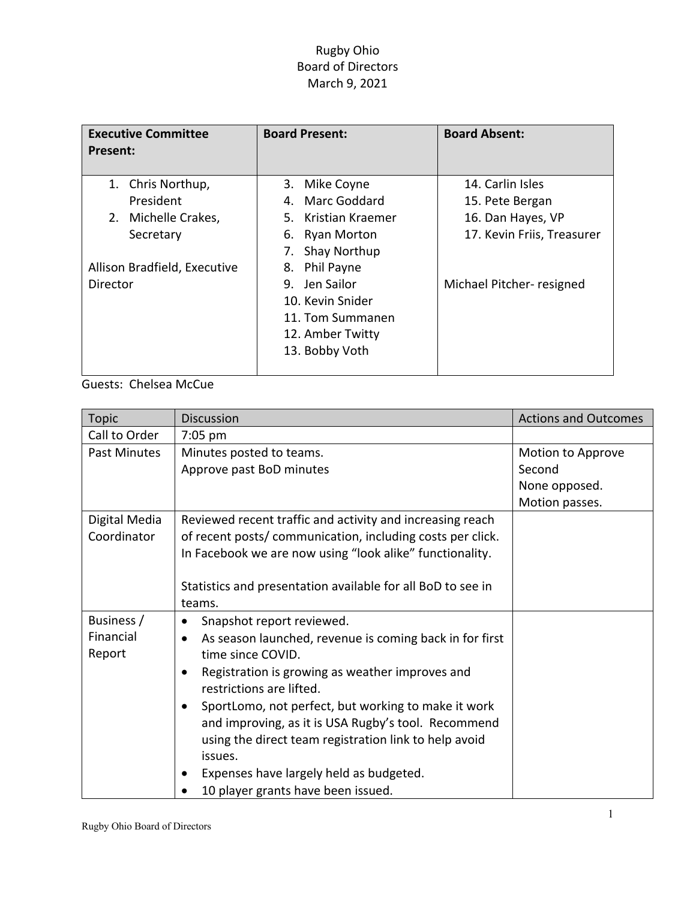## Rugby Ohio Board of Directors March 9, 2021

| <b>Executive Committee</b><br>Present:                                                                            | <b>Board Present:</b>                                                                                                                                                                  | <b>Board Absent:</b>                                                                                                |
|-------------------------------------------------------------------------------------------------------------------|----------------------------------------------------------------------------------------------------------------------------------------------------------------------------------------|---------------------------------------------------------------------------------------------------------------------|
| 1. Chris Northup,<br>President<br>Michelle Crakes,<br>2.<br>Secretary<br>Allison Bradfield, Executive<br>Director | 3. Mike Coyne<br>4. Marc Goddard<br>5. Kristian Kraemer<br>6. Ryan Morton<br><b>Shay Northup</b><br>7.<br>Phil Payne<br>8.<br>Jen Sailor<br>9.<br>10. Kevin Snider<br>11. Tom Summanen | 14. Carlin Isles<br>15. Pete Bergan<br>16. Dan Hayes, VP<br>17. Kevin Friis, Treasurer<br>Michael Pitcher- resigned |
|                                                                                                                   | 12. Amber Twitty<br>13. Bobby Voth                                                                                                                                                     |                                                                                                                     |

Guests: Chelsea McCue

| <b>Topic</b>  | <b>Discussion</b>                                                    | <b>Actions and Outcomes</b> |
|---------------|----------------------------------------------------------------------|-----------------------------|
| Call to Order | 7:05 pm                                                              |                             |
| Past Minutes  | Minutes posted to teams.                                             | Motion to Approve           |
|               | Approve past BoD minutes                                             | Second                      |
|               |                                                                      | None opposed.               |
|               |                                                                      | Motion passes.              |
| Digital Media | Reviewed recent traffic and activity and increasing reach            |                             |
| Coordinator   | of recent posts/ communication, including costs per click.           |                             |
|               | In Facebook we are now using "look alike" functionality.             |                             |
|               |                                                                      |                             |
|               | Statistics and presentation available for all BoD to see in          |                             |
|               | teams.                                                               |                             |
| Business /    | Snapshot report reviewed.<br>٠                                       |                             |
| Financial     | As season launched, revenue is coming back in for first<br>$\bullet$ |                             |
| Report        | time since COVID.                                                    |                             |
|               | Registration is growing as weather improves and<br>$\bullet$         |                             |
|               | restrictions are lifted.                                             |                             |
|               | SportLomo, not perfect, but working to make it work<br>$\bullet$     |                             |
|               | and improving, as it is USA Rugby's tool. Recommend                  |                             |
|               | using the direct team registration link to help avoid                |                             |
|               | issues.                                                              |                             |
|               | Expenses have largely held as budgeted.                              |                             |
|               | 10 player grants have been issued.                                   |                             |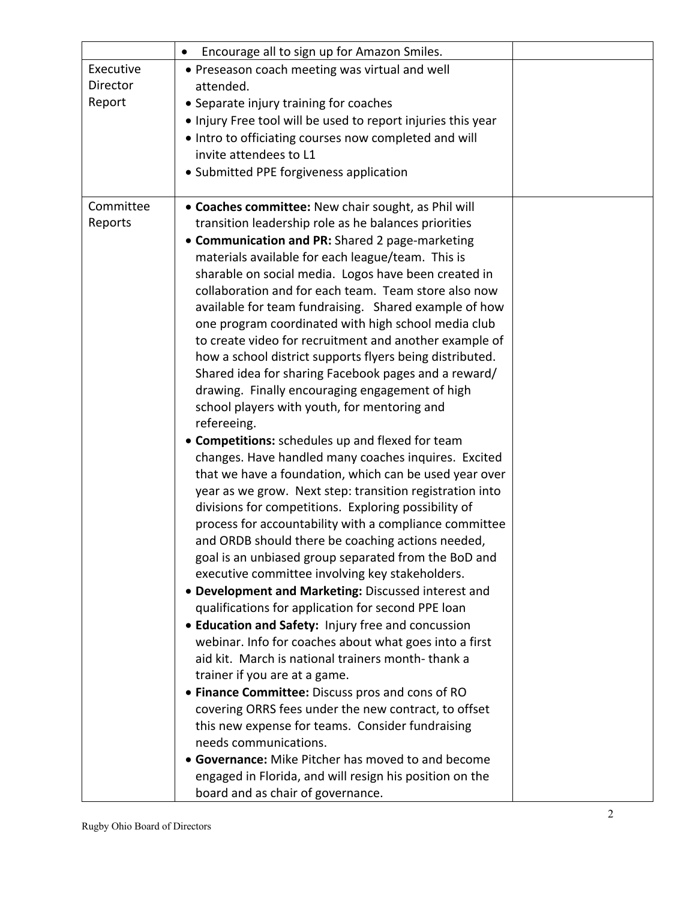|           | Encourage all to sign up for Amazon Smiles.<br>$\bullet$                                                         |  |
|-----------|------------------------------------------------------------------------------------------------------------------|--|
| Executive | • Preseason coach meeting was virtual and well                                                                   |  |
| Director  | attended.                                                                                                        |  |
| Report    | • Separate injury training for coaches                                                                           |  |
|           | . Injury Free tool will be used to report injuries this year                                                     |  |
|           | • Intro to officiating courses now completed and will                                                            |  |
|           | invite attendees to L1                                                                                           |  |
|           | • Submitted PPE forgiveness application                                                                          |  |
|           |                                                                                                                  |  |
| Committee | • Coaches committee: New chair sought, as Phil will                                                              |  |
| Reports   | transition leadership role as he balances priorities                                                             |  |
|           | • Communication and PR: Shared 2 page-marketing                                                                  |  |
|           | materials available for each league/team. This is                                                                |  |
|           | sharable on social media. Logos have been created in                                                             |  |
|           | collaboration and for each team. Team store also now                                                             |  |
|           | available for team fundraising. Shared example of how                                                            |  |
|           | one program coordinated with high school media club                                                              |  |
|           | to create video for recruitment and another example of                                                           |  |
|           | how a school district supports flyers being distributed.                                                         |  |
|           | Shared idea for sharing Facebook pages and a reward/                                                             |  |
|           | drawing. Finally encouraging engagement of high                                                                  |  |
|           | school players with youth, for mentoring and                                                                     |  |
|           | refereeing.                                                                                                      |  |
|           | • Competitions: schedules up and flexed for team                                                                 |  |
|           | changes. Have handled many coaches inquires. Excited                                                             |  |
|           | that we have a foundation, which can be used year over                                                           |  |
|           | year as we grow. Next step: transition registration into<br>divisions for competitions. Exploring possibility of |  |
|           | process for accountability with a compliance committee                                                           |  |
|           | and ORDB should there be coaching actions needed,                                                                |  |
|           | goal is an unbiased group separated from the BoD and                                                             |  |
|           | executive committee involving key stakeholders.                                                                  |  |
|           | • Development and Marketing: Discussed interest and                                                              |  |
|           | qualifications for application for second PPE loan                                                               |  |
|           | • Education and Safety: Injury free and concussion                                                               |  |
|           | webinar. Info for coaches about what goes into a first                                                           |  |
|           | aid kit. March is national trainers month-thank a                                                                |  |
|           | trainer if you are at a game.                                                                                    |  |
|           | • Finance Committee: Discuss pros and cons of RO                                                                 |  |
|           | covering ORRS fees under the new contract, to offset                                                             |  |
|           | this new expense for teams. Consider fundraising                                                                 |  |
|           | needs communications.                                                                                            |  |
|           | • Governance: Mike Pitcher has moved to and become                                                               |  |
|           | engaged in Florida, and will resign his position on the                                                          |  |
|           | board and as chair of governance.                                                                                |  |